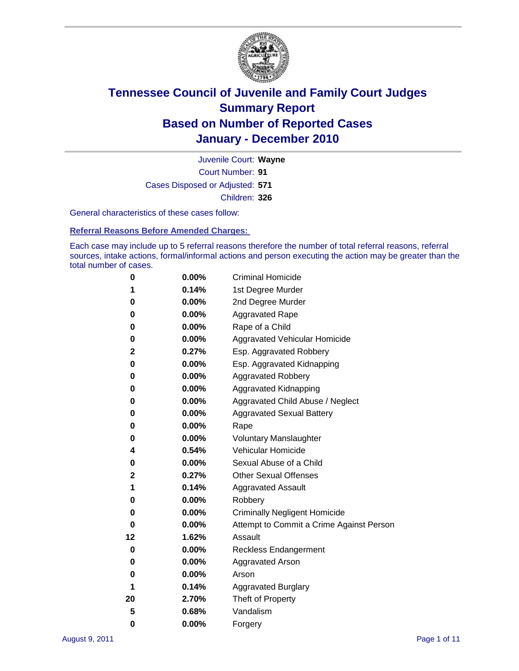

Court Number: **91** Juvenile Court: **Wayne** Cases Disposed or Adjusted: **571** Children: **326**

General characteristics of these cases follow:

**Referral Reasons Before Amended Charges:** 

Each case may include up to 5 referral reasons therefore the number of total referral reasons, referral sources, intake actions, formal/informal actions and person executing the action may be greater than the total number of cases.

| 0  | 0.00% | <b>Criminal Homicide</b>                 |
|----|-------|------------------------------------------|
| 1  | 0.14% | 1st Degree Murder                        |
| 0  | 0.00% | 2nd Degree Murder                        |
| 0  | 0.00% | <b>Aggravated Rape</b>                   |
| 0  | 0.00% | Rape of a Child                          |
| 0  | 0.00% | Aggravated Vehicular Homicide            |
| 2  | 0.27% | Esp. Aggravated Robbery                  |
| 0  | 0.00% | Esp. Aggravated Kidnapping               |
| 0  | 0.00% | <b>Aggravated Robbery</b>                |
| 0  | 0.00% | Aggravated Kidnapping                    |
| 0  | 0.00% | Aggravated Child Abuse / Neglect         |
| 0  | 0.00% | <b>Aggravated Sexual Battery</b>         |
| 0  | 0.00% | Rape                                     |
| 0  | 0.00% | <b>Voluntary Manslaughter</b>            |
| 4  | 0.54% | Vehicular Homicide                       |
| 0  | 0.00% | Sexual Abuse of a Child                  |
| 2  | 0.27% | <b>Other Sexual Offenses</b>             |
| 1  | 0.14% | <b>Aggravated Assault</b>                |
| 0  | 0.00% | Robbery                                  |
| 0  | 0.00% | <b>Criminally Negligent Homicide</b>     |
| 0  | 0.00% | Attempt to Commit a Crime Against Person |
| 12 | 1.62% | Assault                                  |
| 0  | 0.00% | <b>Reckless Endangerment</b>             |
| 0  | 0.00% | <b>Aggravated Arson</b>                  |
| 0  | 0.00% | Arson                                    |
| 1  | 0.14% | <b>Aggravated Burglary</b>               |
| 20 | 2.70% | Theft of Property                        |
| 5  | 0.68% | Vandalism                                |
| 0  | 0.00% | Forgery                                  |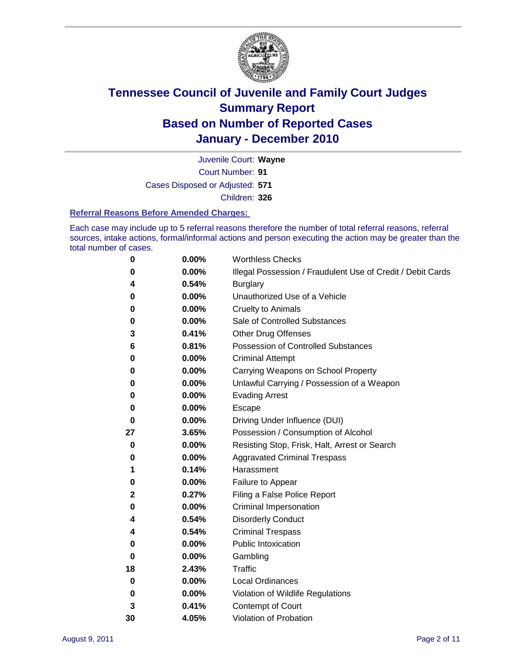

Court Number: **91** Juvenile Court: **Wayne** Cases Disposed or Adjusted: **571**

Children: **326**

#### **Referral Reasons Before Amended Charges:**

Each case may include up to 5 referral reasons therefore the number of total referral reasons, referral sources, intake actions, formal/informal actions and person executing the action may be greater than the total number of cases.

| 0  | 0.00%    | <b>Worthless Checks</b>                                     |
|----|----------|-------------------------------------------------------------|
| 0  | 0.00%    | Illegal Possession / Fraudulent Use of Credit / Debit Cards |
| 4  | 0.54%    | <b>Burglary</b>                                             |
| 0  | 0.00%    | Unauthorized Use of a Vehicle                               |
| 0  | 0.00%    | <b>Cruelty to Animals</b>                                   |
| 0  | 0.00%    | Sale of Controlled Substances                               |
| 3  | 0.41%    | <b>Other Drug Offenses</b>                                  |
| 6  | 0.81%    | <b>Possession of Controlled Substances</b>                  |
| 0  | 0.00%    | <b>Criminal Attempt</b>                                     |
| 0  | 0.00%    | Carrying Weapons on School Property                         |
| 0  | 0.00%    | Unlawful Carrying / Possession of a Weapon                  |
| 0  | 0.00%    | <b>Evading Arrest</b>                                       |
| 0  | 0.00%    | Escape                                                      |
| 0  | 0.00%    | Driving Under Influence (DUI)                               |
| 27 | 3.65%    | Possession / Consumption of Alcohol                         |
| 0  | $0.00\%$ | Resisting Stop, Frisk, Halt, Arrest or Search               |
| 0  | $0.00\%$ | <b>Aggravated Criminal Trespass</b>                         |
| 1  | 0.14%    | Harassment                                                  |
| 0  | 0.00%    | Failure to Appear                                           |
| 2  | 0.27%    | Filing a False Police Report                                |
| 0  | 0.00%    | Criminal Impersonation                                      |
| 4  | 0.54%    | <b>Disorderly Conduct</b>                                   |
| 4  | 0.54%    | <b>Criminal Trespass</b>                                    |
| 0  | 0.00%    | <b>Public Intoxication</b>                                  |
| 0  | $0.00\%$ | Gambling                                                    |
| 18 | 2.43%    | Traffic                                                     |
| 0  | $0.00\%$ | <b>Local Ordinances</b>                                     |
| 0  | 0.00%    | Violation of Wildlife Regulations                           |
| 3  | 0.41%    | Contempt of Court                                           |
| 30 | 4.05%    | Violation of Probation                                      |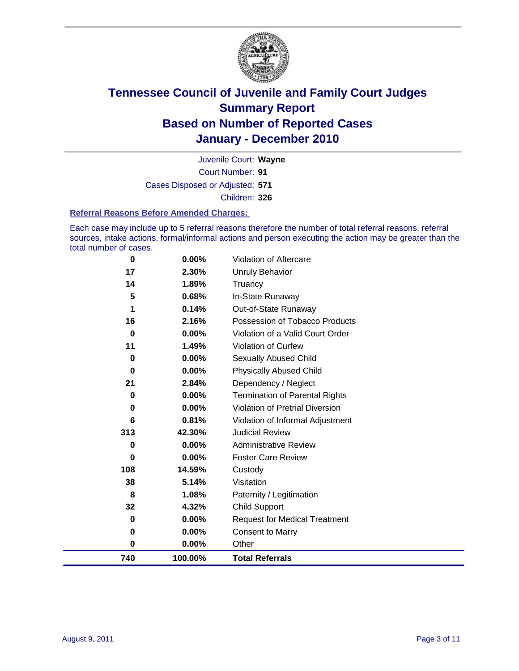

Court Number: **91** Juvenile Court: **Wayne** Cases Disposed or Adjusted: **571** Children: **326**

#### **Referral Reasons Before Amended Charges:**

Each case may include up to 5 referral reasons therefore the number of total referral reasons, referral sources, intake actions, formal/informal actions and person executing the action may be greater than the total number of cases.

| $\mathbf 0$ | 0.00%    | Violation of Aftercare                 |
|-------------|----------|----------------------------------------|
| 17          | 2.30%    | Unruly Behavior                        |
| 14          | 1.89%    | Truancy                                |
| 5           | 0.68%    | In-State Runaway                       |
| 1           | 0.14%    | Out-of-State Runaway                   |
| 16          | 2.16%    | Possession of Tobacco Products         |
| $\bf{0}$    | 0.00%    | Violation of a Valid Court Order       |
| 11          | 1.49%    | Violation of Curfew                    |
| 0           | 0.00%    | Sexually Abused Child                  |
| $\bf{0}$    | 0.00%    | <b>Physically Abused Child</b>         |
| 21          | 2.84%    | Dependency / Neglect                   |
| 0           | 0.00%    | Termination of Parental Rights         |
| $\bf{0}$    | $0.00\%$ | <b>Violation of Pretrial Diversion</b> |
| 6           | 0.81%    | Violation of Informal Adjustment       |
| 313         | 42.30%   | <b>Judicial Review</b>                 |
| 0           | 0.00%    | <b>Administrative Review</b>           |
| $\bf{0}$    | 0.00%    | <b>Foster Care Review</b>              |
| 108         | 14.59%   | Custody                                |
| 38          | 5.14%    | Visitation                             |
| 8           | 1.08%    | Paternity / Legitimation               |
| 32          | 4.32%    | <b>Child Support</b>                   |
| 0           | 0.00%    | <b>Request for Medical Treatment</b>   |
| 0           | 0.00%    | <b>Consent to Marry</b>                |
| $\mathbf 0$ | 0.00%    | Other                                  |
| 740         | 100.00%  | <b>Total Referrals</b>                 |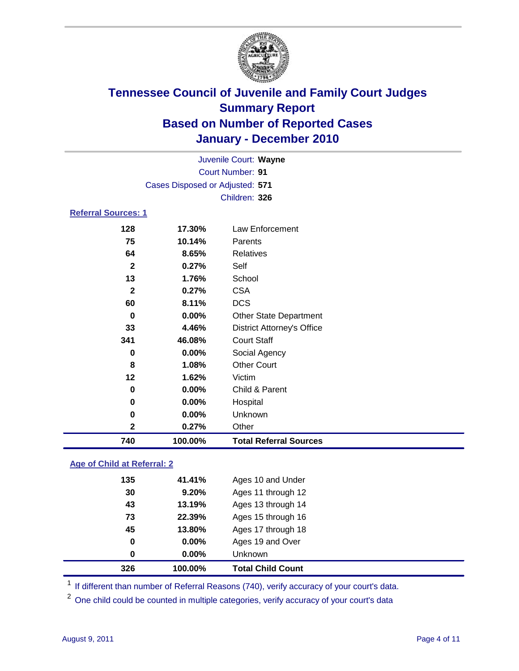

| Juvenile Court: Wayne      |                                 |                                   |  |  |
|----------------------------|---------------------------------|-----------------------------------|--|--|
|                            | <b>Court Number: 91</b>         |                                   |  |  |
|                            | Cases Disposed or Adjusted: 571 |                                   |  |  |
|                            |                                 | Children: 326                     |  |  |
| <b>Referral Sources: 1</b> |                                 |                                   |  |  |
| 128                        | 17.30%                          | Law Enforcement                   |  |  |
| 75                         | 10.14%                          | Parents                           |  |  |
| 64                         | 8.65%                           | <b>Relatives</b>                  |  |  |
| $\mathbf{2}$               | 0.27%                           | Self                              |  |  |
| 13                         | 1.76%                           | School                            |  |  |
| $\mathbf{2}$               | 0.27%                           | <b>CSA</b>                        |  |  |
| 60                         | 8.11%                           | <b>DCS</b>                        |  |  |
| 0                          | $0.00\%$                        | <b>Other State Department</b>     |  |  |
| 33                         | 4.46%                           | <b>District Attorney's Office</b> |  |  |
| 341                        | 46.08%                          | <b>Court Staff</b>                |  |  |
| 0                          | $0.00\%$                        | Social Agency                     |  |  |
| 8                          | 1.08%                           | <b>Other Court</b>                |  |  |
| 12                         | 1.62%                           | Victim                            |  |  |
| 0                          | 0.00%                           | Child & Parent                    |  |  |
| 0                          | 0.00%                           | Hospital                          |  |  |
| 0                          | $0.00\%$                        | Unknown                           |  |  |
| $\mathbf{2}$               | 0.27%                           | Other                             |  |  |
| 740                        | 100.00%                         | <b>Total Referral Sources</b>     |  |  |

### **Age of Child at Referral: 2**

| 326 | 100.00%       |                         | <b>Total Child Count</b> |
|-----|---------------|-------------------------|--------------------------|
|     | 0             | 0.00%<br><b>Unknown</b> |                          |
|     | 0             | 0.00%                   | Ages 19 and Over         |
|     | 45<br>13.80%  |                         | Ages 17 through 18       |
|     | 22.39%<br>73  |                         | Ages 15 through 16       |
|     | 13.19%<br>43  |                         | Ages 13 through 14       |
|     | 30            | 9.20%                   | Ages 11 through 12       |
|     | 135<br>41.41% |                         | Ages 10 and Under        |
|     |               |                         |                          |

<sup>1</sup> If different than number of Referral Reasons (740), verify accuracy of your court's data.

<sup>2</sup> One child could be counted in multiple categories, verify accuracy of your court's data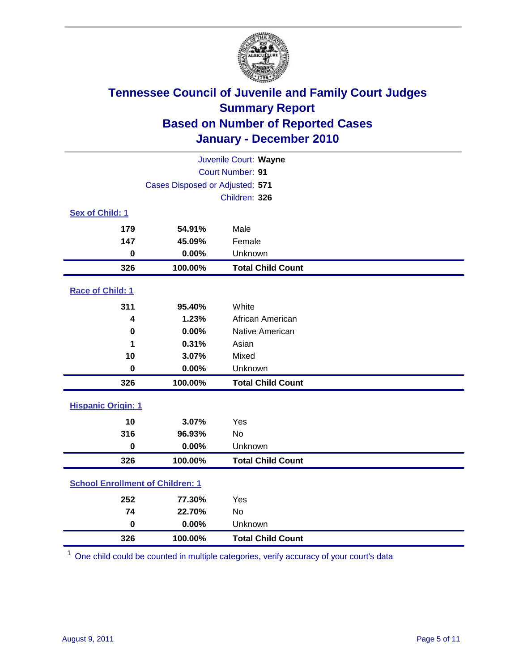

| Juvenile Court: Wayne                   |                                 |                          |  |  |
|-----------------------------------------|---------------------------------|--------------------------|--|--|
|                                         | Court Number: 91                |                          |  |  |
|                                         | Cases Disposed or Adjusted: 571 |                          |  |  |
|                                         |                                 | Children: 326            |  |  |
| Sex of Child: 1                         |                                 |                          |  |  |
| 179                                     | 54.91%                          | Male                     |  |  |
| 147                                     | 45.09%                          | Female                   |  |  |
| $\mathbf 0$                             | 0.00%                           | Unknown                  |  |  |
| 326                                     | 100.00%                         | <b>Total Child Count</b> |  |  |
| Race of Child: 1                        |                                 |                          |  |  |
| 311                                     | 95.40%                          | White                    |  |  |
| 4                                       | 1.23%                           | African American         |  |  |
| $\mathbf 0$                             | 0.00%                           | Native American          |  |  |
| 1                                       | 0.31%                           | Asian                    |  |  |
| 10                                      | 3.07%                           | Mixed                    |  |  |
| $\mathbf 0$                             | 0.00%                           | Unknown                  |  |  |
| 326                                     | 100.00%                         | <b>Total Child Count</b> |  |  |
| <b>Hispanic Origin: 1</b>               |                                 |                          |  |  |
| 10                                      | 3.07%                           | Yes                      |  |  |
| 316                                     | 96.93%                          | No                       |  |  |
| $\mathbf 0$                             | 0.00%                           | Unknown                  |  |  |
| 326                                     | 100.00%                         | <b>Total Child Count</b> |  |  |
| <b>School Enrollment of Children: 1</b> |                                 |                          |  |  |
| 252                                     | 77.30%                          | Yes                      |  |  |
| 74                                      | 22.70%                          | No                       |  |  |
| $\mathbf 0$                             | 0.00%                           | Unknown                  |  |  |
| 326                                     | 100.00%                         | <b>Total Child Count</b> |  |  |

One child could be counted in multiple categories, verify accuracy of your court's data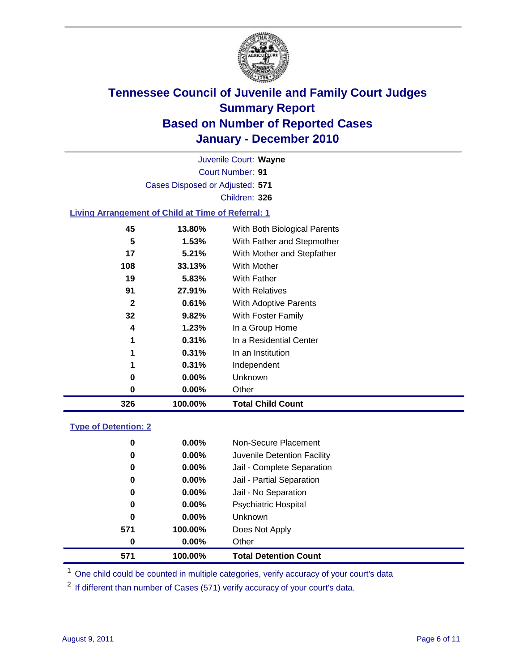

Court Number: **91** Juvenile Court: **Wayne** Cases Disposed or Adjusted: **571** Children: **326**

### **Living Arrangement of Child at Time of Referral: 1**

| 326 | 100.00% | <b>Total Child Count</b>     |
|-----|---------|------------------------------|
| 0   | 0.00%   | Other                        |
| 0   | 0.00%   | Unknown                      |
| 1   | 0.31%   | Independent                  |
| 1   | 0.31%   | In an Institution            |
| 1   | 0.31%   | In a Residential Center      |
| 4   | 1.23%   | In a Group Home              |
| 32  | 9.82%   | With Foster Family           |
| 2   | 0.61%   | <b>With Adoptive Parents</b> |
| 91  | 27.91%  | <b>With Relatives</b>        |
| 19  | 5.83%   | With Father                  |
| 108 | 33.13%  | With Mother                  |
| 17  | 5.21%   | With Mother and Stepfather   |
| 5   | 1.53%   | With Father and Stepmother   |
| 45  | 13.80%  | With Both Biological Parents |

### **Type of Detention: 2**

| 571 | 100.00%  | <b>Total Detention Count</b> |
|-----|----------|------------------------------|
| 0   | $0.00\%$ | Other                        |
| 571 | 100.00%  | Does Not Apply               |
| 0   | $0.00\%$ | <b>Unknown</b>               |
| 0   | 0.00%    | <b>Psychiatric Hospital</b>  |
| 0   | 0.00%    | Jail - No Separation         |
| 0   | $0.00\%$ | Jail - Partial Separation    |
| 0   | $0.00\%$ | Jail - Complete Separation   |
| 0   | 0.00%    | Juvenile Detention Facility  |
| 0   | $0.00\%$ | Non-Secure Placement         |
|     |          |                              |

<sup>1</sup> One child could be counted in multiple categories, verify accuracy of your court's data

<sup>2</sup> If different than number of Cases (571) verify accuracy of your court's data.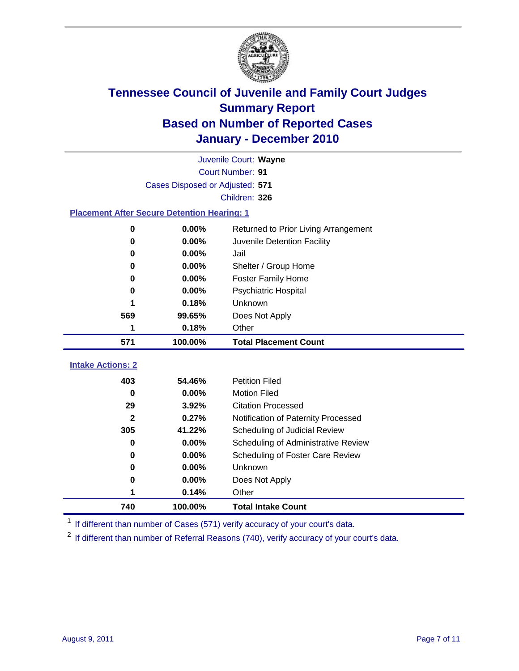

|                                                    | Juvenile Court: Wayne           |                                      |  |  |  |
|----------------------------------------------------|---------------------------------|--------------------------------------|--|--|--|
|                                                    | Court Number: 91                |                                      |  |  |  |
|                                                    | Cases Disposed or Adjusted: 571 |                                      |  |  |  |
|                                                    |                                 | Children: 326                        |  |  |  |
| <b>Placement After Secure Detention Hearing: 1</b> |                                 |                                      |  |  |  |
| $\mathbf 0$                                        | 0.00%                           | Returned to Prior Living Arrangement |  |  |  |
| 0                                                  | 0.00%                           | Juvenile Detention Facility          |  |  |  |
| 0                                                  | 0.00%                           | Jail                                 |  |  |  |
| 0                                                  | 0.00%                           | Shelter / Group Home                 |  |  |  |
| 0                                                  | 0.00%                           | <b>Foster Family Home</b>            |  |  |  |
| 0                                                  | 0.00%                           | Psychiatric Hospital                 |  |  |  |
|                                                    | 0.18%                           | Unknown                              |  |  |  |
| 569                                                | 99.65%                          | Does Not Apply                       |  |  |  |
| 1                                                  | 0.18%                           | Other                                |  |  |  |
| 571                                                | 100.00%                         | <b>Total Placement Count</b>         |  |  |  |
| <b>Intake Actions: 2</b>                           |                                 |                                      |  |  |  |
| 403                                                | 54.46%                          | <b>Petition Filed</b>                |  |  |  |
| $\bf{0}$                                           | 0.00%                           | <b>Motion Filed</b>                  |  |  |  |
| 29                                                 | 3.92%                           | <b>Citation Processed</b>            |  |  |  |
| $\mathbf{2}$                                       | 0.27%                           | Notification of Paternity Processed  |  |  |  |
| 305                                                | 41.22%                          | Scheduling of Judicial Review        |  |  |  |
| $\bf{0}$                                           | 0.00%                           | Scheduling of Administrative Review  |  |  |  |
| 0                                                  | 0.00%                           | Scheduling of Foster Care Review     |  |  |  |
| 0                                                  | 0.00%                           | Unknown                              |  |  |  |
| 0                                                  | 0.00%                           | Does Not Apply                       |  |  |  |
| 1                                                  |                                 |                                      |  |  |  |
|                                                    | 0.14%                           | Other                                |  |  |  |

<sup>1</sup> If different than number of Cases (571) verify accuracy of your court's data.

<sup>2</sup> If different than number of Referral Reasons (740), verify accuracy of your court's data.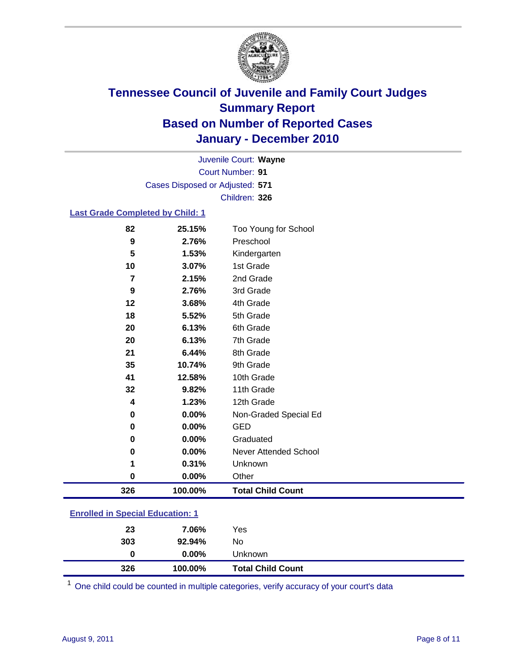

Court Number: **91** Juvenile Court: **Wayne** Cases Disposed or Adjusted: **571** Children: **326**

#### **Last Grade Completed by Child: 1**

| 326      | 100.00% | <b>Total Child Count</b> |  |
|----------|---------|--------------------------|--|
| 0        | 0.00%   | Other                    |  |
|          | 0.31%   | Unknown                  |  |
| 0        | 0.00%   | Never Attended School    |  |
| 0        | 0.00%   | Graduated                |  |
| $\bf{0}$ | 0.00%   | <b>GED</b>               |  |
| 0        | 0.00%   | Non-Graded Special Ed    |  |
| 4        | 1.23%   | 12th Grade               |  |
| 32       | 9.82%   | 11th Grade               |  |
| 41       | 12.58%  | 10th Grade               |  |
| 35       | 10.74%  | 9th Grade                |  |
| 21       | 6.44%   | 8th Grade                |  |
| 20       | 6.13%   | 7th Grade                |  |
| 20       | 6.13%   | 6th Grade                |  |
| 18       | 5.52%   | 5th Grade                |  |
| 12       | 3.68%   | 4th Grade                |  |
| 9        | 2.76%   | 3rd Grade                |  |
| 7        | 2.15%   | 2nd Grade                |  |
| 10       | 3.07%   | 1st Grade                |  |
| 5        | 1.53%   | Kindergarten             |  |
| 9        | 2.76%   | Preschool                |  |
| 82       | 25.15%  | Too Young for School     |  |

### **Enrolled in Special Education: 1**

| 326 | 100.00%  | <b>Total Child Count</b> |
|-----|----------|--------------------------|
| 0   | $0.00\%$ | Unknown                  |
| 303 | 92.94%   | No                       |
| 23  | 7.06%    | Yes                      |
|     |          |                          |

One child could be counted in multiple categories, verify accuracy of your court's data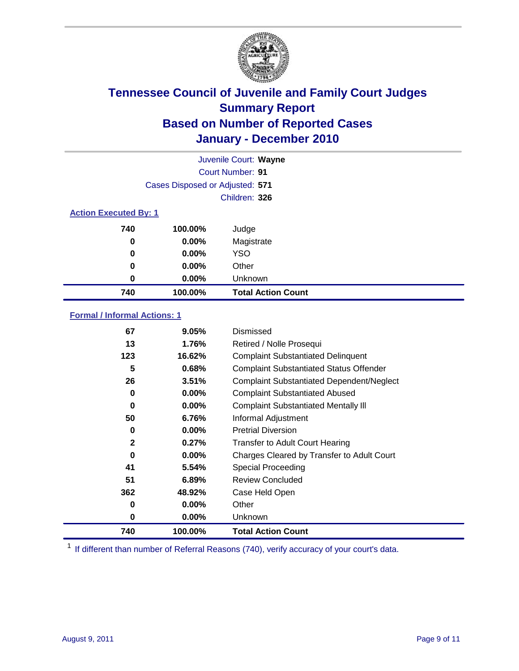

|                              | Juvenile Court: Wayne           |                           |  |  |
|------------------------------|---------------------------------|---------------------------|--|--|
|                              |                                 | <b>Court Number: 91</b>   |  |  |
|                              | Cases Disposed or Adjusted: 571 |                           |  |  |
|                              |                                 | Children: 326             |  |  |
| <b>Action Executed By: 1</b> |                                 |                           |  |  |
| 740                          | 100.00%                         | Judge                     |  |  |
| 0                            | $0.00\%$                        | Magistrate                |  |  |
| 0                            | $0.00\%$                        | <b>YSO</b>                |  |  |
| 0                            | 0.00%                           | Other                     |  |  |
| 0                            | 0.00%                           | Unknown                   |  |  |
| 740                          | 100.00%                         | <b>Total Action Count</b> |  |  |

### **Formal / Informal Actions: 1**

| 67           | 9.05%    | Dismissed                                        |
|--------------|----------|--------------------------------------------------|
| 13           | 1.76%    | Retired / Nolle Prosequi                         |
| 123          | 16.62%   | <b>Complaint Substantiated Delinquent</b>        |
| 5            | 0.68%    | <b>Complaint Substantiated Status Offender</b>   |
| 26           | 3.51%    | <b>Complaint Substantiated Dependent/Neglect</b> |
| $\bf{0}$     | $0.00\%$ | <b>Complaint Substantiated Abused</b>            |
| $\bf{0}$     | $0.00\%$ | <b>Complaint Substantiated Mentally III</b>      |
| 50           | 6.76%    | Informal Adjustment                              |
| $\bf{0}$     | $0.00\%$ | <b>Pretrial Diversion</b>                        |
| $\mathbf{2}$ | 0.27%    | <b>Transfer to Adult Court Hearing</b>           |
| 0            | $0.00\%$ | Charges Cleared by Transfer to Adult Court       |
| 41           | 5.54%    | Special Proceeding                               |
| 51           | 6.89%    | <b>Review Concluded</b>                          |
| 362          | 48.92%   | Case Held Open                                   |
| 0            | $0.00\%$ | Other                                            |
| 0            | $0.00\%$ | Unknown                                          |
| 740          | 100.00%  | <b>Total Action Count</b>                        |

<sup>1</sup> If different than number of Referral Reasons (740), verify accuracy of your court's data.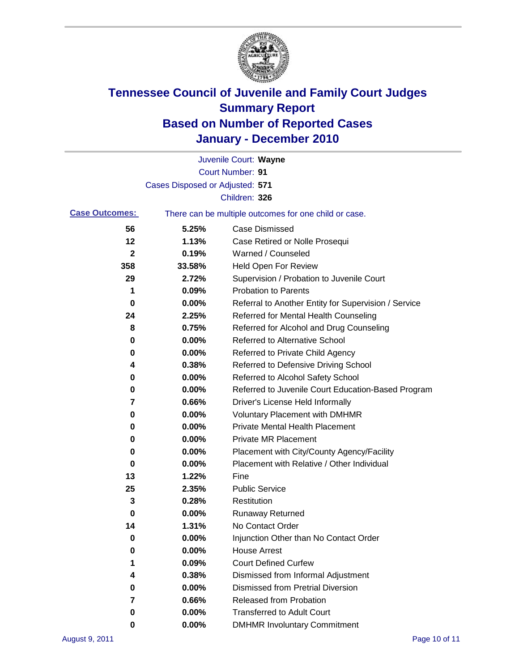

|                       |                                 | Juvenile Court: Wayne                                 |
|-----------------------|---------------------------------|-------------------------------------------------------|
|                       |                                 | <b>Court Number: 91</b>                               |
|                       | Cases Disposed or Adjusted: 571 |                                                       |
|                       |                                 | Children: 326                                         |
| <b>Case Outcomes:</b> |                                 | There can be multiple outcomes for one child or case. |
| 56                    | 5.25%                           | <b>Case Dismissed</b>                                 |
| 12                    | 1.13%                           | Case Retired or Nolle Prosequi                        |
| 2                     | 0.19%                           | Warned / Counseled                                    |
| 358                   | 33.58%                          | Held Open For Review                                  |
| 29                    | 2.72%                           | Supervision / Probation to Juvenile Court             |
| 1                     | 0.09%                           | <b>Probation to Parents</b>                           |
| 0                     | 0.00%                           | Referral to Another Entity for Supervision / Service  |
| 24                    | 2.25%                           | Referred for Mental Health Counseling                 |
| 8                     | 0.75%                           | Referred for Alcohol and Drug Counseling              |
| 0                     | 0.00%                           | Referred to Alternative School                        |
| 0                     | 0.00%                           | Referred to Private Child Agency                      |
| 4                     | 0.38%                           | Referred to Defensive Driving School                  |
| 0                     | 0.00%                           | Referred to Alcohol Safety School                     |
| 0                     | 0.00%                           | Referred to Juvenile Court Education-Based Program    |
| 7                     | 0.66%                           | Driver's License Held Informally                      |
| 0                     | 0.00%                           | <b>Voluntary Placement with DMHMR</b>                 |
| 0                     | 0.00%                           | <b>Private Mental Health Placement</b>                |
| 0                     | 0.00%                           | <b>Private MR Placement</b>                           |
| 0                     | 0.00%                           | Placement with City/County Agency/Facility            |
| 0                     | 0.00%                           | Placement with Relative / Other Individual            |
| 13                    | 1.22%                           | Fine                                                  |
| 25                    | 2.35%                           | <b>Public Service</b>                                 |
| 3                     | 0.28%                           | Restitution                                           |
| 0                     | 0.00%                           | <b>Runaway Returned</b>                               |
| 14                    | 1.31%                           | No Contact Order                                      |
| 0                     | 0.00%                           | Injunction Other than No Contact Order                |
| 0                     | 0.00%                           | <b>House Arrest</b>                                   |
| 1                     | 0.09%                           | <b>Court Defined Curfew</b>                           |
| 4                     | 0.38%                           | Dismissed from Informal Adjustment                    |
| 0                     | 0.00%                           | <b>Dismissed from Pretrial Diversion</b>              |
| 7                     | 0.66%                           | Released from Probation                               |
| 0                     | 0.00%                           | <b>Transferred to Adult Court</b>                     |
| 0                     | 0.00%                           | <b>DMHMR Involuntary Commitment</b>                   |